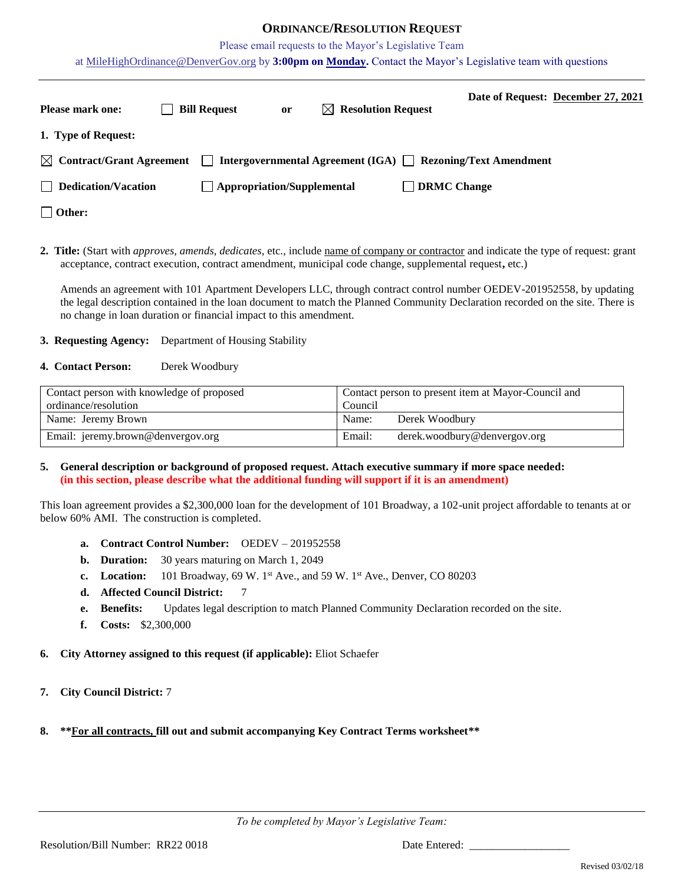## **ORDINANCE/RESOLUTION REQUEST**

Please email requests to the Mayor's Legislative Team

at [MileHighOrdinance@DenverGov.org](mailto:MileHighOrdinance@DenverGov.org) by **3:00pm on Monday.** Contact the Mayor's Legislative team with questions

| <b>Please mark one:</b>              | <b>Bill Request</b> | or                                | $\bowtie$ Resolution Request                                | Date of Request: December 27, 2021 |
|--------------------------------------|---------------------|-----------------------------------|-------------------------------------------------------------|------------------------------------|
| 1. Type of Request:                  |                     |                                   |                                                             |                                    |
| $\boxtimes$ Contract/Grant Agreement | $\mathbf{I}$        |                                   | Intergovernmental Agreement (IGA) ■ Rezoning/Text Amendment |                                    |
| $\Box$ Dedication/Vacation           |                     | $\Box$ Appropriation/Supplemental | <b>DRMC Change</b>                                          |                                    |
| $\Box$ Other:                        |                     |                                   |                                                             |                                    |

**2. Title:** (Start with *approves, amends, dedicates*, etc., include name of company or contractor and indicate the type of request: grant acceptance, contract execution, contract amendment, municipal code change, supplemental request**,** etc.)

Amends an agreement with 101 Apartment Developers LLC, through contract control number OEDEV-201952558, by updating the legal description contained in the loan document to match the Planned Community Declaration recorded on the site. There is no change in loan duration or financial impact to this amendment.

## **3. Requesting Agency:** Department of Housing Stability

### **4. Contact Person:** Derek Woodbury

| Contact person with knowledge of proposed | Contact person to present item at Mayor-Council and |  |  |
|-------------------------------------------|-----------------------------------------------------|--|--|
| ordinance/resolution                      | Council                                             |  |  |
| Name: Jeremy Brown                        | Derek Woodbury<br>Name:                             |  |  |
| Email: jeremy.brown@denvergov.org         | Email:<br>derek.woodbury@denvergov.org              |  |  |

## **5. General description or background of proposed request. Attach executive summary if more space needed: (in this section, please describe what the additional funding will support if it is an amendment)**

This loan agreement provides a \$2,300,000 loan for the development of 101 Broadway, a 102-unit project affordable to tenants at or below 60% AMI. The construction is completed.

- **a. Contract Control Number:** OEDEV 201952558
- **b. Duration:** 30 years maturing on March 1, 2049
- **c.** Location:  $101$  Broadway,  $69$  W.  $1<sup>st</sup>$  Ave., and  $59$  W.  $1<sup>st</sup>$  Ave., Denver, CO 80203
- **d. Affected Council District:** 7
- **e. Benefits:** Updates legal description to match Planned Community Declaration recorded on the site.
- **f. Costs:** \$2,300,000
- **6. City Attorney assigned to this request (if applicable):** Eliot Schaefer
- **7. City Council District:** 7
- **8. \*\*For all contracts, fill out and submit accompanying Key Contract Terms worksheet\*\***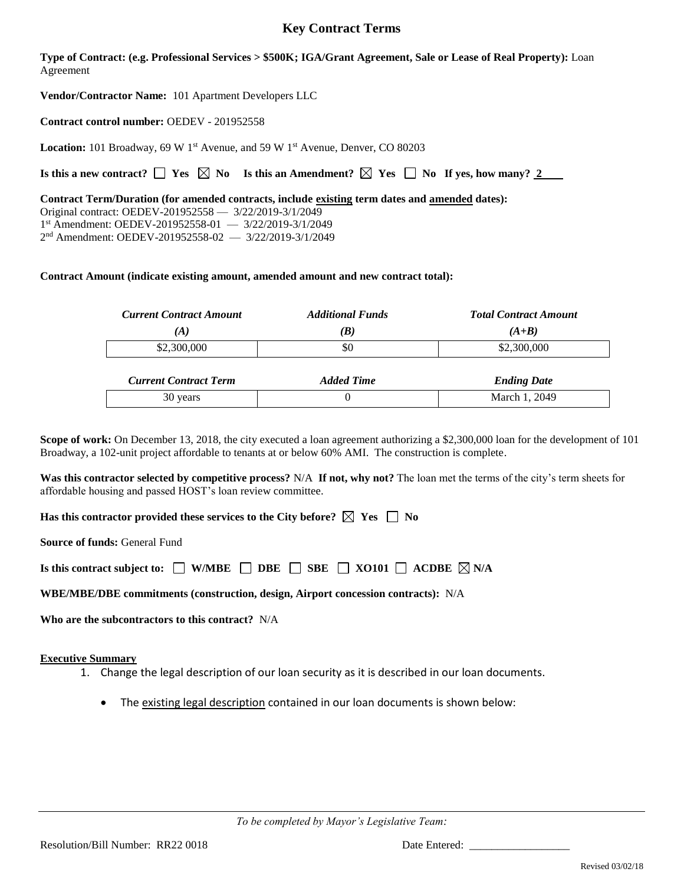# **Key Contract Terms**

**Type of Contract: (e.g. Professional Services > \$500K; IGA/Grant Agreement, Sale or Lease of Real Property):** Loan Agreement

**Vendor/Contractor Name:** 101 Apartment Developers LLC

**Contract control number:** OEDEV - 201952558

Location: 101 Broadway, 69 W 1<sup>st</sup> Avenue, and 59 W 1<sup>st</sup> Avenue, Denver, CO 80203

**Is this a new contract?**  $\Box$  **Yes**  $\Box$  **No Is this an Amendment?**  $\Box$  **Yes**  $\Box$  **No If yes, how many?** 2

**Contract Term/Duration (for amended contracts, include existing term dates and amended dates):** Original contract: OEDEV-201952558 — 3/22/2019-3/1/2049 1 st Amendment: OEDEV-201952558-01 — 3/22/2019-3/1/2049 2 nd Amendment: OEDEV-201952558-02 — 3/22/2019-3/1/2049

## **Contract Amount (indicate existing amount, amended amount and new contract total):**

| <b>Current Contract Amount</b> | <b>Additional Funds</b> | <b>Total Contract Amount</b> |  |
|--------------------------------|-------------------------|------------------------------|--|
| (A)                            | B)                      | $(A+B)$                      |  |
| \$2,300,000                    | \$0                     | \$2,300,000                  |  |
|                                |                         |                              |  |
| <b>Current Contract Term</b>   | <b>Added Time</b>       | <b>Ending Date</b>           |  |
| 30 years                       |                         | March 1, 2049                |  |

**Scope of work:** On December 13, 2018, the city executed a loan agreement authorizing a \$2,300,000 loan for the development of 101 Broadway, a 102-unit project affordable to tenants at or below 60% AMI. The construction is complete.

**Was this contractor selected by competitive process?** N/A **If not, why not?** The loan met the terms of the city's term sheets for affordable housing and passed HOST's loan review committee.

**Has this contractor provided these services to the City before?**  $\boxtimes$  Yes  $\Box$  No

**Source of funds:** General Fund

**Is this contract subject to:**  $\Box$  **W/MBE**  $\Box$  **BBE**  $\Box$  **SBE**  $\Box$  **XO101**  $\Box$  **ACDBE**  $\boxtimes$  **N/A** 

**WBE/MBE/DBE commitments (construction, design, Airport concession contracts):** N/A

**Who are the subcontractors to this contract?** N/A

**Executive Summary**

- 1. Change the legal description of our loan security as it is described in our loan documents.
	- The existing legal description contained in our loan documents is shown below: